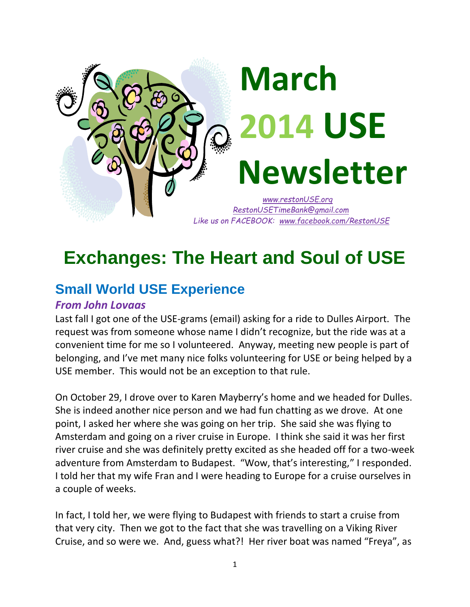

## **Exchanges: The Heart and Soul of USE**

### **Small World USE Experience**

#### *From John Lovaas*

Last fall I got one of the USE-grams (email) asking for a ride to Dulles Airport. The request was from someone whose name I didn't recognize, but the ride was at a convenient time for me so I volunteered. Anyway, meeting new people is part of belonging, and I've met many nice folks volunteering for USE or being helped by a USE member. This would not be an exception to that rule.

On October 29, I drove over to Karen Mayberry's home and we headed for Dulles. She is indeed another nice person and we had fun chatting as we drove. At one point, I asked her where she was going on her trip. She said she was flying to Amsterdam and going on a river cruise in Europe. I think she said it was her first river cruise and she was definitely pretty excited as she headed off for a two-week adventure from Amsterdam to Budapest. "Wow, that's interesting," I responded. I told her that my wife Fran and I were heading to Europe for a cruise ourselves in a couple of weeks.

In fact, I told her, we were flying to Budapest with friends to start a cruise from that very city. Then we got to the fact that she was travelling on a Viking River Cruise, and so were we. And, guess what?! Her river boat was named "Freya", as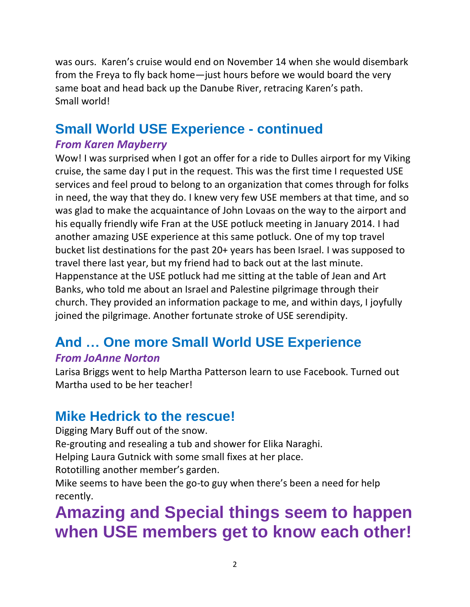was ours. Karen's cruise would end on November 14 when she would disembark from the Freya to fly back home—just hours before we would board the very same boat and head back up the Danube River, retracing Karen's path. Small world!

### **Small World USE Experience - continued**

#### *From Karen Mayberry*

Wow! I was surprised when I got an offer for a ride to Dulles airport for my Viking cruise, the same day I put in the request. This was the first time I requested USE services and feel proud to belong to an organization that comes through for folks in need, the way that they do. I knew very few USE members at that time, and so was glad to make the acquaintance of John Lovaas on the way to the airport and his equally friendly wife Fran at the USE potluck meeting in January 2014. I had another amazing USE experience at this same potluck. One of my top travel bucket list destinations for the past 20+ years has been Israel. I was supposed to travel there last year, but my friend had to back out at the last minute. Happenstance at the USE potluck had me sitting at the table of Jean and Art Banks, who told me about an Israel and Palestine pilgrimage through their church. They provided an information package to me, and within days, I joyfully joined the pilgrimage. Another fortunate stroke of USE serendipity.

## **And … One more Small World USE Experience**

#### *From JoAnne Norton*

Larisa Briggs went to help Martha Patterson learn to use Facebook. Turned out Martha used to be her teacher!

### **Mike Hedrick to the rescue!**

Digging Mary Buff out of the snow.

Re-grouting and resealing a tub and shower for Elika Naraghi.

Helping Laura Gutnick with some small fixes at her place.

Rototilling another member's garden.

Mike seems to have been the go-to guy when there's been a need for help recently.

## **Amazing and Special things seem to happen when USE members get to know each other!**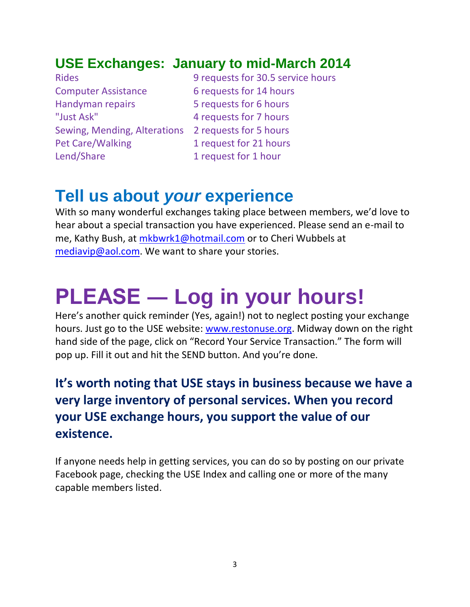### **USE Exchanges: January to mid-March 2014**

Computer Assistance 6 requests for 14 hours Handyman repairs **5** requests for 6 hours "Just Ask" 4 requests for 7 hours Sewing, Mending, Alterations 2 requests for 5 hours Pet Care/Walking 1 request for 21 hours Lend/Share 1 request for 1 hour

Rides 9 requests for 30.5 service hours

### **Tell us about** *your* **experience**

With so many wonderful exchanges taking place between members, we'd love to hear about a special transaction you have experienced. Please send an e-mail to me, Kathy Bush, at [mkbwrk1@hotmail.com](mailto:mkbwrk1@hotmail.com) or to Cheri Wubbels at [mediavip@aol.com.](mailto:mediavip@aol.com) We want to share your stories.

# **PLEASE ― Log in your hours!**

Here's another quick reminder (Yes, again!) not to neglect posting your exchange hours. Just go to the USE website: [www.restonuse.org.](http://www.restonuse.org/) Midway down on the right hand side of the page, click on "Record Your Service Transaction." The form will pop up. Fill it out and hit the SEND button. And you're done.

### **It's worth noting that USE stays in business because we have a very large inventory of personal services. When you record your USE exchange hours, you support the value of our existence.**

If anyone needs help in getting services, you can do so by posting on our private Facebook page, checking the USE Index and calling one or more of the many capable members listed.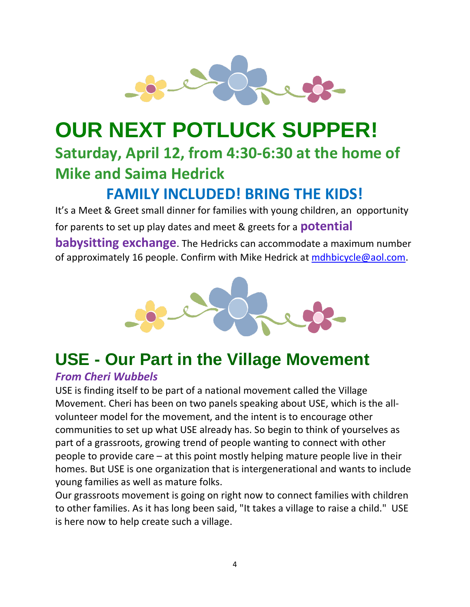

## **OUR NEXT POTLUCK SUPPER! Saturday, April 12, from 4:30-6:30 at the home of Mike and Saima Hedrick**

### **FAMILY INCLUDED! BRING THE KIDS!**

It's a Meet & Greet small dinner for families with young children, an opportunity for parents to set up play dates and meet & greets for a **potential babysitting exchange**. The Hedricks can accommodate a maximum number of approximately 16 people. Confirm with Mike Hedrick at [mdhbicycle@aol.com.](mailto:mdhbicycle@aol.com)



## **USE - Our Part in the Village Movement**

#### *From Cheri Wubbels*

USE is finding itself to be part of a national movement called the Village Movement. Cheri has been on two panels speaking about USE, which is the allvolunteer model for the movement, and the intent is to encourage other communities to set up what USE already has. So begin to think of yourselves as part of a grassroots, growing trend of people wanting to connect with other people to provide care – at this point mostly helping mature people live in their homes. But USE is one organization that is intergenerational and wants to include young families as well as mature folks.

Our grassroots movement is going on right now to connect families with children to other families. As it has long been said, "It takes a village to raise a child." USE is here now to help create such a village.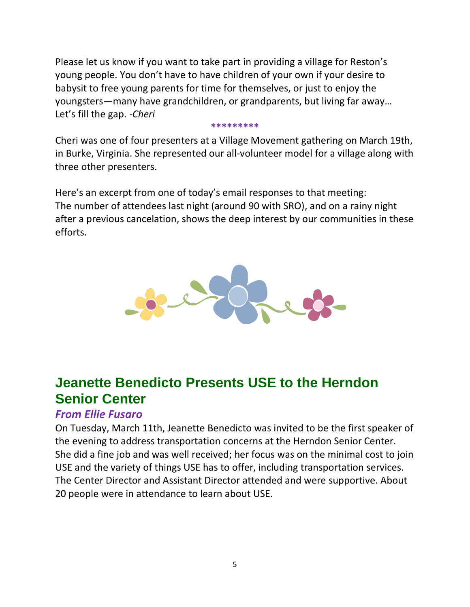Please let us know if you want to take part in providing a village for Reston's young people. You don't have to have children of your own if your desire to babysit to free young parents for time for themselves, or just to enjoy the youngsters—many have grandchildren, or grandparents, but living far away… Let's fill the gap. *-Cheri*

#### **\*\*\*\*\*\*\*\*\***

Cheri was one of four presenters at a Village Movement gathering on March 19th, in Burke, Virginia. She represented our all-volunteer model for a village along with three other presenters.

Here's an excerpt from one of today's email responses to that meeting: The number of attendees last night (around 90 with SRO), and on a rainy night after a previous cancelation, shows the deep interest by our communities in these efforts.



### **Jeanette Benedicto Presents USE to the Herndon Senior Center**

#### *From Ellie Fusaro*

On Tuesday, March 11th, Jeanette Benedicto was invited to be the first speaker of the evening to address transportation concerns at the Herndon Senior Center. She did a fine job and was well received; her focus was on the minimal cost to join USE and the variety of things USE has to offer, including transportation services. The Center Director and Assistant Director attended and were supportive. About 20 people were in attendance to learn about USE.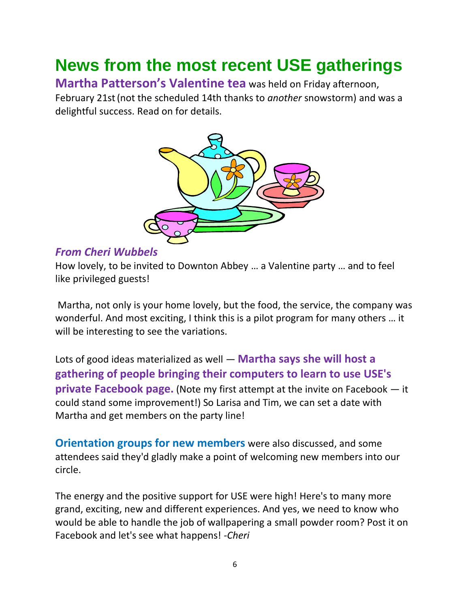## **News from the most recent USE gatherings**

**Martha Patterson's Valentine tea** was held on Friday afternoon,

February 21st(not the scheduled 14th thanks to *another* snowstorm) and was a delightful success. Read on for details.



#### *From Cheri Wubbels*

How lovely, to be invited to Downton Abbey … a Valentine party … and to feel like privileged guests!

Martha, not only is your home lovely, but the food, the service, the company was wonderful. And most exciting, I think this is a pilot program for many others … it will be interesting to see the variations.

Lots of good ideas materialized as well — **Martha says she will host a gathering of people bringing their computers to learn to use USE's private Facebook page.** (Note my first attempt at the invite on Facebook — it could stand some improvement!) So Larisa and Tim, we can set a date with Martha and get members on the party line!

**Orientation groups for new members** were also discussed, and some attendees said they'd gladly make a point of welcoming new members into our circle.

The energy and the positive support for USE were high! Here's to many more grand, exciting, new and different experiences. And yes, we need to know who would be able to handle the job of wallpapering a small powder room? Post it on Facebook and let's see what happens! *-Cheri*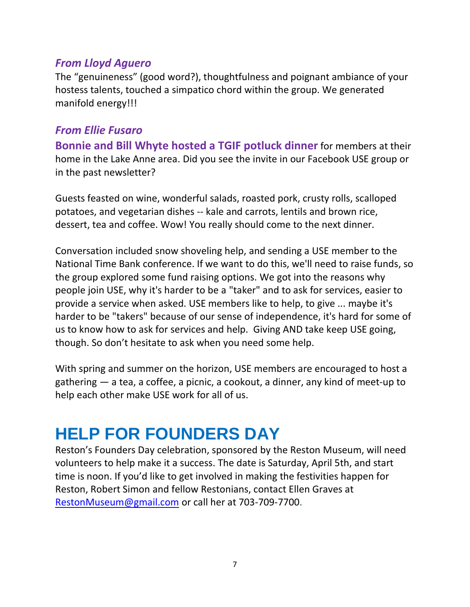#### *From Lloyd Aguero*

The "genuineness" (good word?), thoughtfulness and poignant ambiance of your hostess talents, touched a simpatico chord within the group. We generated manifold energy!!!

#### *From Ellie Fusaro*

**Bonnie and Bill Whyte hosted a TGIF potluck dinner** for members at their home in the Lake Anne area. Did you see the invite in our Facebook USE group or in the past newsletter?

Guests feasted on wine, wonderful salads, roasted pork, crusty rolls, scalloped potatoes, and vegetarian dishes -- kale and carrots, lentils and brown rice, dessert, tea and coffee. Wow! You really should come to the next dinner.

Conversation included snow shoveling help, and sending a USE member to the National Time Bank conference. If we want to do this, we'll need to raise funds, so the group explored some fund raising options. We got into the reasons why people join USE, why it's harder to be a "taker" and to ask for services, easier to provide a service when asked. USE members like to help, to give ... maybe it's harder to be "takers" because of our sense of independence, it's hard for some of us to know how to ask for services and help. Giving AND take keep USE going, though. So don't hesitate to ask when you need some help.

With spring and summer on the horizon, USE members are encouraged to host a gathering ― a tea, a coffee, a picnic, a cookout, a dinner, any kind of meet-up to help each other make USE work for all of us.

## **HELP FOR FOUNDERS DAY**

Reston's Founders Day celebration, sponsored by the Reston Museum, will need volunteers to help make it a success. The date is Saturday, April 5th, and start time is noon. If you'd like to get involved in making the festivities happen for Reston, Robert Simon and fellow Restonians, contact Ellen Graves at [RestonMuseum@gmail.com](mailto:RestonMuseum@gmail.com) or call her at 703-709-7700.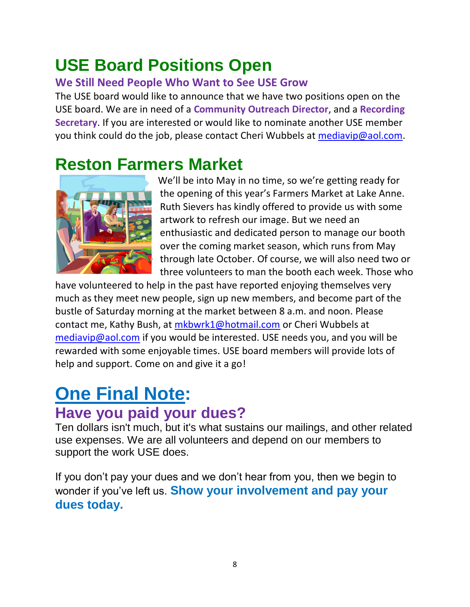## **USE Board Positions Open**

#### **We Still Need People Who Want to See USE Grow**

The USE board would like to announce that we have two positions open on the USE board. We are in need of a **Community Outreach Director**, and a **Recording Secretary**. If you are interested or would like to nominate another USE member you think could do the job, please contact Cheri Wubbels at [mediavip@aol.com.](mailto:mediavip@aol.com)

### **Reston Farmers Market**



We'll be into May in no time, so we're getting ready for the opening of this year's Farmers Market at Lake Anne. Ruth Sievers has kindly offered to provide us with some artwork to refresh our image. But we need an enthusiastic and dedicated person to manage our booth over the coming market season, which runs from May through late October. Of course, we will also need two or three volunteers to man the booth each week. Those who

have volunteered to help in the past have reported enjoying themselves very much as they meet new people, sign up new members, and become part of the bustle of Saturday morning at the market between 8 a.m. and noon. Please contact me, Kathy Bush, at [mkbwrk1@hotmail.com](mailto:mkbwrk1@hotmail.com) or Cheri Wubbels at [mediavip@aol.com](mailto:mediavip@aol.com) if you would be interested. USE needs you, and you will be rewarded with some enjoyable times. USE board members will provide lots of help and support. Come on and give it a go!

### **One Final Note: Have you paid your dues?**

Ten dollars isn't much, but it's what sustains our mailings, and other related use expenses. We are all volunteers and depend on our members to support the work USE does.

If you don't pay your dues and we don't hear from you, then we begin to wonder if you've left us. **Show your involvement and pay your dues today.**